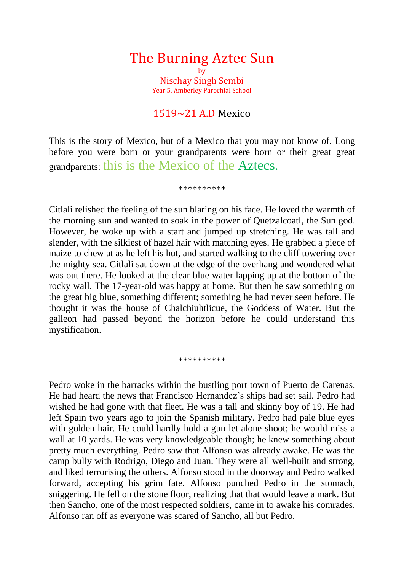# The Burning Aztec Sun by Nischay Singh Sembi

Year 5, Amberley Parochial School

## $1519 - 21$  A.D Mexico

This is the story of Mexico, but of a Mexico that you may not know of. Long before you were born or your grandparents were born or their great great grandparents: this is the Mexico of the Aztecs.

## \*\*\*\*\*\*\*\*\*\*

Citlali relished the feeling of the sun blaring on his face. He loved the warmth of the morning sun and wanted to soak in the power of Quetzalcoatl, the Sun god. However, he woke up with a start and jumped up stretching. He was tall and slender, with the silkiest of hazel hair with matching eyes. He grabbed a piece of maize to chew at as he left his hut, and started walking to the cliff towering over the mighty sea. Citlali sat down at the edge of the overhang and wondered what was out there. He looked at the clear blue water lapping up at the bottom of the rocky wall. The 17-year-old was happy at home. But then he saw something on the great big blue, something different; something he had never seen before. He thought it was the house of Chalchiuhtlicue, the Goddess of Water. But the galleon had passed beyond the horizon before he could understand this mystification.

## \*\*\*\*\*\*\*\*\*\*

Pedro woke in the barracks within the bustling port town of Puerto de Carenas. He had heard the news that Francisco Hernandez's ships had set sail. Pedro had wished he had gone with that fleet. He was a tall and skinny boy of 19. He had left Spain two years ago to join the Spanish military. Pedro had pale blue eyes with golden hair. He could hardly hold a gun let alone shoot; he would miss a wall at 10 yards. He was very knowledgeable though; he knew something about pretty much everything. Pedro saw that Alfonso was already awake. He was the camp bully with Rodrigo, Diego and Juan. They were all well-built and strong, and liked terrorising the others. Alfonso stood in the doorway and Pedro walked forward, accepting his grim fate. Alfonso punched Pedro in the stomach, sniggering. He fell on the stone floor, realizing that that would leave a mark. But then Sancho, one of the most respected soldiers, came in to awake his comrades. Alfonso ran off as everyone was scared of Sancho, all but Pedro.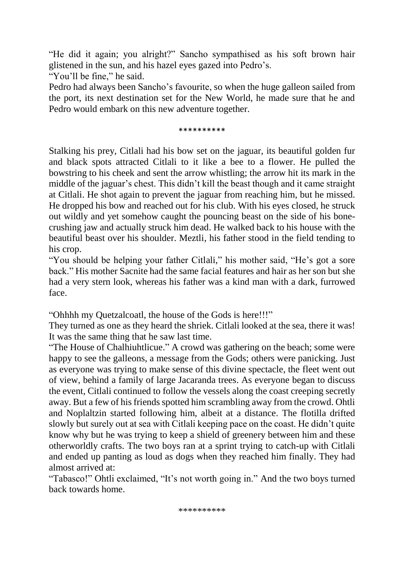"He did it again; you alright?" Sancho sympathised as his soft brown hair glistened in the sun, and his hazel eyes gazed into Pedro's.

"You'll be fine," he said.

Pedro had always been Sancho's favourite, so when the huge galleon sailed from the port, its next destination set for the New World, he made sure that he and Pedro would embark on this new adventure together.

## \*\*\*\*\*\*\*\*\*\*

Stalking his prey, Citlali had his bow set on the jaguar, its beautiful golden fur and black spots attracted Citlali to it like a bee to a flower. He pulled the bowstring to his cheek and sent the arrow whistling; the arrow hit its mark in the middle of the jaguar's chest. This didn't kill the beast though and it came straight at Citlali. He shot again to prevent the jaguar from reaching him, but he missed. He dropped his bow and reached out for his club. With his eyes closed, he struck out wildly and yet somehow caught the pouncing beast on the side of his bonecrushing jaw and actually struck him dead. He walked back to his house with the beautiful beast over his shoulder. Meztli, his father stood in the field tending to his crop.

"You should be helping your father Citlali," his mother said, "He's got a sore back." His mother Sacnite had the same facial features and hair as her son but she had a very stern look, whereas his father was a kind man with a dark, furrowed face.

"Ohhhh my Quetzalcoatl, the house of the Gods is here!!!"

They turned as one as they heard the shriek. Citlali looked at the sea, there it was! It was the same thing that he saw last time.

"The House of Chalhiuhtlicue." A crowd was gathering on the beach; some were happy to see the galleons, a message from the Gods; others were panicking. Just as everyone was trying to make sense of this divine spectacle, the fleet went out of view, behind a family of large Jacaranda trees. As everyone began to discuss the event, Citlali continued to follow the vessels along the coast creeping secretly away. But a few of his friends spotted him scrambling away from the crowd. Ohtli and Noplaltzin started following him, albeit at a distance. The flotilla drifted slowly but surely out at sea with Citlali keeping pace on the coast. He didn't quite know why but he was trying to keep a shield of greenery between him and these otherworldly crafts. The two boys ran at a sprint trying to catch-up with Citlali and ended up panting as loud as dogs when they reached him finally. They had almost arrived at:

"Tabasco!" Ohtli exclaimed, "It's not worth going in." And the two boys turned back towards home.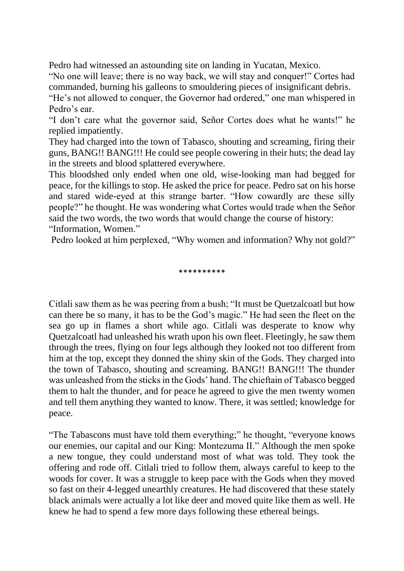Pedro had witnessed an astounding site on landing in Yucatan, Mexico.

"No one will leave; there is no way back, we will stay and conquer!" Cortes had commanded, burning his galleons to smouldering pieces of insignificant debris.

"He's not allowed to conquer, the Governor had ordered," one man whispered in Pedro's ear.

"I don't care what the governor said, Señor Cortes does what he wants!" he replied impatiently.

They had charged into the town of Tabasco, shouting and screaming, firing their guns, BANG!! BANG!!! He could see people cowering in their huts; the dead lay in the streets and blood splattered everywhere.

This bloodshed only ended when one old, wise-looking man had begged for peace, for the killings to stop. He asked the price for peace. Pedro sat on his horse and stared wide-eyed at this strange barter. "How cowardly are these silly people?" he thought. He was wondering what Cortes would trade when the Señor said the two words, the two words that would change the course of history:

"Information, Women."

Pedro looked at him perplexed, "Why women and information? Why not gold?"

\*\*\*\*\*\*\*\*\*\*

Citlali saw them as he was peering from a bush; "It must be Quetzalcoatl but how can there be so many, it has to be the God's magic." He had seen the fleet on the sea go up in flames a short while ago. Citlali was desperate to know why Quetzalcoatl had unleashed his wrath upon his own fleet. Fleetingly, he saw them through the trees, flying on four legs although they looked not too different from him at the top, except they donned the shiny skin of the Gods. They charged into the town of Tabasco, shouting and screaming. BANG!! BANG!!! The thunder was unleashed from the sticks in the Gods' hand. The chieftain of Tabasco begged them to halt the thunder, and for peace he agreed to give the men twenty women and tell them anything they wanted to know. There, it was settled; knowledge for peace.

"The Tabascons must have told them everything;" he thought, "everyone knows our enemies, our capital and our King: Montezuma II." Although the men spoke a new tongue, they could understand most of what was told. They took the offering and rode off. Citlali tried to follow them, always careful to keep to the woods for cover. It was a struggle to keep pace with the Gods when they moved so fast on their 4-legged unearthly creatures. He had discovered that these stately black animals were actually a lot like deer and moved quite like them as well. He knew he had to spend a few more days following these ethereal beings.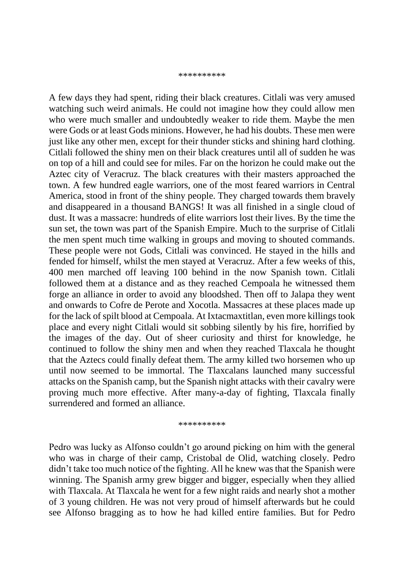#### \*\*\*\*\*\*\*\*\*\*

A few days they had spent, riding their black creatures. Citlali was very amused watching such weird animals. He could not imagine how they could allow men who were much smaller and undoubtedly weaker to ride them. Maybe the men were Gods or at least Gods minions. However, he had his doubts. These men were just like any other men, except for their thunder sticks and shining hard clothing. Citlali followed the shiny men on their black creatures until all of sudden he was on top of a hill and could see for miles. Far on the horizon he could make out the Aztec city of Veracruz. The black creatures with their masters approached the town. A few hundred eagle warriors, one of the most feared warriors in Central America, stood in front of the shiny people. They charged towards them bravely and disappeared in a thousand BANGS! It was all finished in a single cloud of dust. It was a massacre: hundreds of elite warriors lost their lives. By the time the sun set, the town was part of the Spanish Empire. Much to the surprise of Citlali the men spent much time walking in groups and moving to shouted commands. These people were not Gods, Citlali was convinced. He stayed in the hills and fended for himself, whilst the men stayed at Veracruz. After a few weeks of this, 400 men marched off leaving 100 behind in the now Spanish town. Citlali followed them at a distance and as they reached Cempoala he witnessed them forge an alliance in order to avoid any bloodshed. Then off to Jalapa they went and onwards to Cofre de Perote and Xocotla. Massacres at these places made up for the lack of spilt blood at Cempoala. At Ixtacmaxtitlan, even more killings took place and every night Citlali would sit sobbing silently by his fire, horrified by the images of the day. Out of sheer curiosity and thirst for knowledge, he continued to follow the shiny men and when they reached Tlaxcala he thought that the Aztecs could finally defeat them. The army killed two horsemen who up until now seemed to be immortal. The Tlaxcalans launched many successful attacks on the Spanish camp, but the Spanish night attacks with their cavalry were proving much more effective. After many-a-day of fighting, Tlaxcala finally surrendered and formed an alliance.

\*\*\*\*\*\*\*\*\*\*

Pedro was lucky as Alfonso couldn't go around picking on him with the general who was in charge of their camp, Cristobal de Olid, watching closely. Pedro didn't take too much notice of the fighting. All he knew was that the Spanish were winning. The Spanish army grew bigger and bigger, especially when they allied with Tlaxcala. At Tlaxcala he went for a few night raids and nearly shot a mother of 3 young children. He was not very proud of himself afterwards but he could see Alfonso bragging as to how he had killed entire families. But for Pedro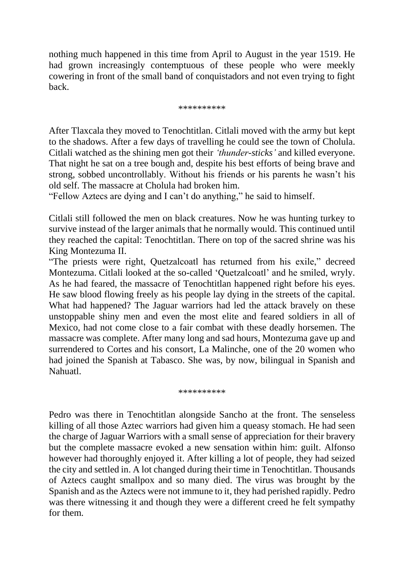nothing much happened in this time from April to August in the year 1519. He had grown increasingly contemptuous of these people who were meekly cowering in front of the small band of conquistadors and not even trying to fight back.

## \*\*\*\*\*\*\*\*\*\*

After Tlaxcala they moved to Tenochtitlan. Citlali moved with the army but kept to the shadows. After a few days of travelling he could see the town of Cholula. Citlali watched as the shining men got their *'thunder-sticks'* and killed everyone. That night he sat on a tree bough and, despite his best efforts of being brave and strong, sobbed uncontrollably. Without his friends or his parents he wasn't his old self. The massacre at Cholula had broken him.

"Fellow Aztecs are dying and I can't do anything," he said to himself.

Citlali still followed the men on black creatures. Now he was hunting turkey to survive instead of the larger animals that he normally would. This continued until they reached the capital: Tenochtitlan. There on top of the sacred shrine was his King Montezuma II.

"The priests were right, Quetzalcoatl has returned from his exile," decreed Montezuma. Citlali looked at the so-called 'Quetzalcoatl' and he smiled, wryly. As he had feared, the massacre of Tenochtitlan happened right before his eyes. He saw blood flowing freely as his people lay dying in the streets of the capital. What had happened? The Jaguar warriors had led the attack bravely on these unstoppable shiny men and even the most elite and feared soldiers in all of Mexico, had not come close to a fair combat with these deadly horsemen. The massacre was complete. After many long and sad hours, Montezuma gave up and surrendered to Cortes and his consort, La Malinche, one of the 20 women who had joined the Spanish at Tabasco. She was, by now, bilingual in Spanish and Nahuatl.

\*\*\*\*\*\*\*\*\*

Pedro was there in Tenochtitlan alongside Sancho at the front. The senseless killing of all those Aztec warriors had given him a queasy stomach. He had seen the charge of Jaguar Warriors with a small sense of appreciation for their bravery but the complete massacre evoked a new sensation within him: guilt. Alfonso however had thoroughly enjoyed it. After killing a lot of people, they had seized the city and settled in. A lot changed during their time in Tenochtitlan. Thousands of Aztecs caught smallpox and so many died. The virus was brought by the Spanish and as the Aztecs were not immune to it, they had perished rapidly. Pedro was there witnessing it and though they were a different creed he felt sympathy for them.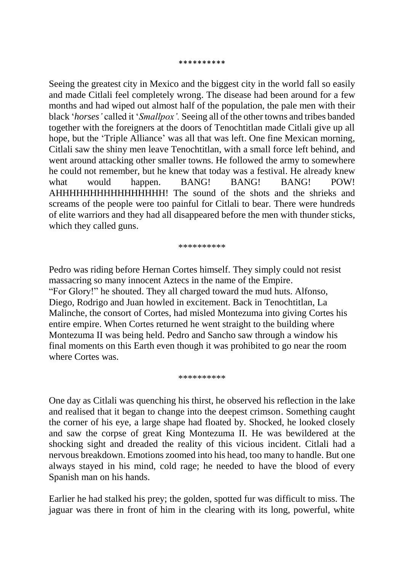### \*\*\*\*\*\*\*\*\*\*

Seeing the greatest city in Mexico and the biggest city in the world fall so easily and made Citlali feel completely wrong. The disease had been around for a few months and had wiped out almost half of the population, the pale men with their black '*horses'* called it '*Smallpox'.* Seeing all of the other towns and tribes banded together with the foreigners at the doors of Tenochtitlan made Citlali give up all hope, but the 'Triple Alliance' was all that was left. One fine Mexican morning, Citlali saw the shiny men leave Tenochtitlan, with a small force left behind, and went around attacking other smaller towns. He followed the army to somewhere he could not remember, but he knew that today was a festival. He already knew what would happen. BANG! BANG! BANG! POW! AHHHHHHHHHHHHHHHH! The sound of the shots and the shrieks and screams of the people were too painful for Citlali to bear. There were hundreds of elite warriors and they had all disappeared before the men with thunder sticks, which they called guns.

\*\*\*\*\*\*\*\*\*

Pedro was riding before Hernan Cortes himself. They simply could not resist massacring so many innocent Aztecs in the name of the Empire. "For Glory!" he shouted. They all charged toward the mud huts. Alfonso, Diego, Rodrigo and Juan howled in excitement. Back in Tenochtitlan, La Malinche, the consort of Cortes, had misled Montezuma into giving Cortes his entire empire. When Cortes returned he went straight to the building where Montezuma II was being held. Pedro and Sancho saw through a window his final moments on this Earth even though it was prohibited to go near the room where Cortes was.

\*\*\*\*\*\*\*\*\*\*

One day as Citlali was quenching his thirst, he observed his reflection in the lake and realised that it began to change into the deepest crimson. Something caught the corner of his eye, a large shape had floated by. Shocked, he looked closely and saw the corpse of great King Montezuma II. He was bewildered at the shocking sight and dreaded the reality of this vicious incident. Citlali had a nervous breakdown. Emotions zoomed into his head, too many to handle. But one always stayed in his mind, cold rage; he needed to have the blood of every Spanish man on his hands.

Earlier he had stalked his prey; the golden, spotted fur was difficult to miss. The jaguar was there in front of him in the clearing with its long, powerful, white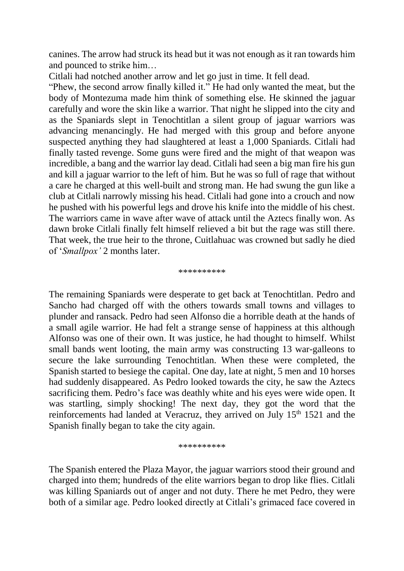canines. The arrow had struck its head but it was not enough as it ran towards him and pounced to strike him…

Citlali had notched another arrow and let go just in time. It fell dead.

"Phew, the second arrow finally killed it." He had only wanted the meat, but the body of Montezuma made him think of something else. He skinned the jaguar carefully and wore the skin like a warrior. That night he slipped into the city and as the Spaniards slept in Tenochtitlan a silent group of jaguar warriors was advancing menancingly. He had merged with this group and before anyone suspected anything they had slaughtered at least a 1,000 Spaniards. Citlali had finally tasted revenge. Some guns were fired and the might of that weapon was incredible, a bang and the warrior lay dead. Citlali had seen a big man fire his gun and kill a jaguar warrior to the left of him. But he was so full of rage that without a care he charged at this well-built and strong man. He had swung the gun like a club at Citlali narrowly missing his head. Citlali had gone into a crouch and now he pushed with his powerful legs and drove his knife into the middle of his chest. The warriors came in wave after wave of attack until the Aztecs finally won. As dawn broke Citlali finally felt himself relieved a bit but the rage was still there. That week, the true heir to the throne, Cuitlahuac was crowned but sadly he died of '*Smallpox'* 2 months later.

\*\*\*\*\*\*\*\*\*\*

The remaining Spaniards were desperate to get back at Tenochtitlan. Pedro and Sancho had charged off with the others towards small towns and villages to plunder and ransack. Pedro had seen Alfonso die a horrible death at the hands of a small agile warrior. He had felt a strange sense of happiness at this although Alfonso was one of their own. It was justice, he had thought to himself. Whilst small bands went looting, the main army was constructing 13 war-galleons to secure the lake surrounding Tenochtitlan. When these were completed, the Spanish started to besiege the capital. One day, late at night, 5 men and 10 horses had suddenly disappeared. As Pedro looked towards the city, he saw the Aztecs sacrificing them. Pedro's face was deathly white and his eyes were wide open. It was startling, simply shocking! The next day, they got the word that the reinforcements had landed at Veracruz, they arrived on July 15<sup>th</sup> 1521 and the Spanish finally began to take the city again.

\*\*\*\*\*\*\*\*\*\*

The Spanish entered the Plaza Mayor, the jaguar warriors stood their ground and charged into them; hundreds of the elite warriors began to drop like flies. Citlali was killing Spaniards out of anger and not duty. There he met Pedro, they were both of a similar age. Pedro looked directly at Citlali's grimaced face covered in